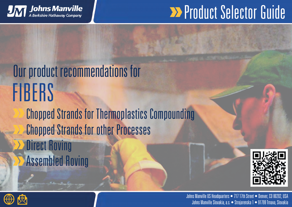

### **EXProduct Selector Guide**

#### Our product recommendations for FIBERS Chopped Strands for Thermoplastics Compounding Chopped Strands for other Processes Direct Roving Assembled Roving



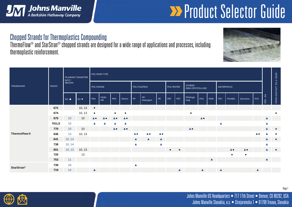

## **EXProduct Selector Guide**

#### Chopped Strands for Thermoplastics Compounding

ThermoFlow® and StarStran® chopped strands are designed for a wide range of applications and processes, including thermoplastic reinforcement.



| <b>TRADENAME</b>   | <b>SIZING</b> | FILAMENT DIAMETER<br>$[\mu m] /$<br>REGION |        | POLYMER TYPE             |                          |                          |                          |                          |                          |                          |                  |                  |                                   |                          |                  |                  |                          |                          |                                       |                  |           |
|--------------------|---------------|--------------------------------------------|--------|--------------------------|--------------------------|--------------------------|--------------------------|--------------------------|--------------------------|--------------------------|------------------|------------------|-----------------------------------|--------------------------|------------------|------------------|--------------------------|--------------------------|---------------------------------------|------------------|-----------|
|                    |               |                                            |        | POLYAMIDE                |                          |                          |                          | <b>POLYOLEFINS</b>       |                          |                          | <b>POLYESTER</b> |                  | <b>OTHERS</b><br>SEMI-CRYSTALLINE |                          |                  | AMORPHOUS        |                          |                          | FOOD CONTACT EU (> 2016) <sup>1</sup> |                  |           |
|                    |               | NA A                                       | EU ·   | PA6                      | PA66 -<br><b>HR</b>      | PPA                      | Others                   | PP                       | PP-<br>Detergent         | PE                       | PBT              | PET              | PPS/high<br>heat                  | PVA                      | POM              | <b>TPU</b>       | PC/ABS                   | Styrenics                | PVC                                   | FDA - NA         |           |
|                    | 672           |                                            | 10, 13 | $\bullet$                |                          |                          |                          |                          |                          |                          |                  |                  |                                   |                          |                  |                  |                          |                          |                                       |                  |           |
|                    | 674           |                                            | 10, 13 | $\bullet$                |                          | $\bullet$                | $\bullet$                |                          |                          |                          |                  |                  | $\bullet$                         |                          |                  |                  |                          |                          |                                       |                  | $\bullet$ |
|                    | 675           | 10 <sup>°</sup>                            | 10     | $\blacktriangle \bullet$ | $\blacktriangle \bullet$ | $\blacktriangle \bullet$ | $\blacktriangle \bullet$ |                          |                          |                          |                  |                  |                                   | $\blacktriangle \bullet$ |                  |                  |                          |                          |                                       | $\blacktriangle$ |           |
|                    | <b>701LS</b>  | 10                                         |        | ▲                        | $\blacktriangle$         | ▲                        | ▲                        |                          |                          |                          |                  |                  |                                   |                          |                  | ▲                |                          |                          |                                       |                  |           |
|                    | 770           | 10                                         | 10     |                          |                          | $\blacktriangle \bullet$ | $\blacktriangle \bullet$ |                          |                          |                          |                  |                  | $\blacktriangle \bullet$          |                          |                  |                  |                          |                          |                                       | ▲                | $\bullet$ |
| <b>ThermoFlow®</b> | 636           | 13                                         | 10, 13 |                          |                          |                          |                          | $\blacktriangle \bullet$ | $\blacktriangle \bullet$ | $\blacktriangle \bullet$ |                  |                  |                                   |                          |                  |                  |                          |                          | $\blacktriangle \bullet$              |                  | $\bullet$ |
|                    | 641           | 10, 14                                     |        |                          |                          |                          |                          | $\blacktriangle$         | $\blacktriangle$         | $\blacktriangle$         |                  |                  |                                   |                          |                  |                  |                          |                          |                                       |                  | $\bullet$ |
|                    | 738           | 10, 14                                     |        |                          |                          |                          |                          |                          |                          | $\blacktriangle$         |                  |                  |                                   |                          |                  |                  |                          |                          |                                       |                  |           |
|                    | 601           | 10, 13                                     | 10, 13 |                          |                          |                          |                          |                          |                          |                          | $\bullet$        |                  |                                   |                          |                  |                  | $\blacktriangle \bullet$ | $\blacktriangle \bullet$ |                                       | $\blacktriangle$ | $\bullet$ |
|                    | 720           |                                            | 13     |                          |                          |                          |                          |                          |                          |                          |                  |                  |                                   |                          |                  |                  | $\bullet$                | $\bullet$                |                                       |                  |           |
|                    | 753           | 11                                         |        |                          |                          |                          |                          |                          |                          |                          |                  |                  |                                   |                          | $\blacktriangle$ |                  |                          |                          |                                       | $\blacktriangle$ |           |
| <b>StarStran®</b>  | 739           | 16                                         |        |                          |                          |                          |                          |                          |                          |                          |                  |                  |                                   |                          |                  |                  |                          |                          |                                       |                  |           |
|                    | 719           | 14                                         |        | ▲                        |                          |                          |                          |                          |                          |                          |                  | $\blacktriangle$ |                                   | $\blacktriangle$         |                  | $\blacktriangle$ |                          |                          | $\blacktriangle$                      |                  |           |

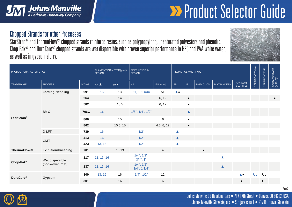

# **EXP Product Selector Guide**

#### Chopped Strands for other Processes

StarStran® and ThermoFlow® chopped strands reinforce resins, such as polypropylene, unsaturated polyesters and phenolic. Chop-Pak® and DuraCore® chopped strands are wet dispersible with proven superior performance in HEC and PAA white water, as well as in gypsum slurry.



| PRODUCT CHARACTERISTICS | FILAMENT DIAMETER [µm] /<br><b>REGION</b> |      | FIBER LENGTH /<br><b>REGION</b> |          | <b>RESIN / POLYMER TYPE</b>             | CERTIFICATES NA | CERTIFICATES EU         | FOOD CONTACT<br>(> 2016) <sup>1</sup> |                  |                    |                          |    |    |  |
|-------------------------|-------------------------------------------|------|---------------------------------|----------|-----------------------------------------|-----------------|-------------------------|---------------------------------------|------------------|--------------------|--------------------------|----|----|--|
| <b>TRADENAME</b>        | <b>PROCESS</b><br><b>SIZING</b>           |      | NA A                            | EU .     | NA                                      | EU [mm]         | <b>PP</b>               | <b>UP</b>                             | <b>PHENOLICS</b> | <b>MAT BINDERS</b> | GYPSUM<br>SLURRIES       |    |    |  |
| <b>StarStran®</b>       | Carding/Needling                          | 991  | 16                              | 13       | 51, 102 mm                              | 51              | $\blacktriangle\bullet$ |                                       |                  |                    |                          |    |    |  |
|                         |                                           | 264  |                                 | 14       |                                         | 6, 12           |                         | $\bullet$                             |                  |                    |                          |    |    |  |
|                         |                                           | 582  |                                 | 13.5     |                                         | 6, 12           |                         | $\bullet$                             |                  |                    |                          |    |    |  |
|                         | <b>BMC</b>                                | 706C | 16                              |          | $1/8$ ", $1/4$ ", $1/2$ "               |                 |                         | $\blacktriangle$                      |                  |                    |                          |    |    |  |
|                         |                                           | 860  |                                 | 15       |                                         | $\,6$           |                         | $\bullet$                             |                  |                    |                          |    |    |  |
|                         |                                           | 862  |                                 | 10.5, 15 |                                         | 4.5, 6, 12      |                         | $\bullet$                             |                  |                    |                          |    |    |  |
|                         | D-LFT                                     | 739  | 16                              |          | 1/2"                                    |                 | ▲                       |                                       |                  |                    |                          |    |    |  |
|                         | <b>GMT</b>                                | 413  | 16                              |          | 1/2"                                    |                 | $\blacktriangle$        |                                       |                  |                    |                          |    |    |  |
|                         |                                           | 423  | 13, 16                          |          | 1/2"                                    |                 | ▲                       |                                       |                  |                    |                          |    |    |  |
| <b>ThermoFlow®</b>      | Extrusion/Kneading                        | 701  |                                 | 10,13    |                                         | $\overline{4}$  |                         |                                       |                  |                    |                          |    |    |  |
| Chop-Pak®               | Wet dispersible                           | 117  | 11, 13, 16                      |          | $1/4$ ", $1/2$ ",<br>$3/4$ ", 1"        |                 |                         |                                       |                  | $\blacktriangle$   |                          |    |    |  |
|                         | (nonwoven mat)                            | 137  | 11, 13, 16                      |          | $1/4$ ", $1/2$ ",<br>$3/4$ ", 1 $1/4$ " |                 |                         |                                       |                  | $\blacktriangle$   |                          |    |    |  |
| <b>DuraCore®</b>        |                                           | 300  | 13, 16                          | 16       | $1/4$ ", $1/2$ "                        | 12              |                         |                                       |                  |                    | $\blacktriangle \bullet$ | UL | UL |  |
|                         | Gypsum                                    | 301  |                                 | 16       |                                         | $\,6$           |                         |                                       |                  |                    | $\bullet$                |    | UL |  |

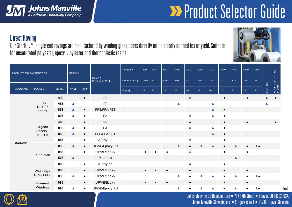

# **Broduct Selector Guide**

 $\sqrt{6}$ 

#### Direct Roving

Our StarRov® single-end rovings are manufactured by winding glass fibers directly into a clearly defined tex or yield. Suitable for unsaturated polyester, epoxy, vinylester and thermoplastic resins.



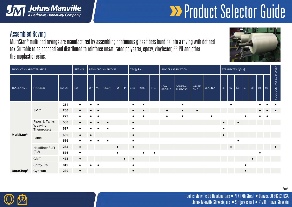

# **Broduct Selector Guide**

#### Assembled Roving

MultiStar® multi-end rovings are manufactured by assembling continuous glass fibers bundles into a roving with defined tex. Suitable to be chopped and distributed to reinforce unsaturated polyester, epoxy, vinylester, PP, PU and other thermoplastic resins.

| PRODUCT CHARACTERISTICS | <b>REGION</b>                          | RESIN / POLYMER TYPE |           |           |           |           | TEX [g/km] |           |           | SMC CLASSIFICATION |           |                                                      |                           |              | STRAND TEX [g/km] |           |    |           |           |           |    |    |                                       |
|-------------------------|----------------------------------------|----------------------|-----------|-----------|-----------|-----------|------------|-----------|-----------|--------------------|-----------|------------------------------------------------------|---------------------------|--------------|-------------------|-----------|----|-----------|-----------|-----------|----|----|---------------------------------------|
| TRADENAME               | <b>PROCESS</b>                         | <b>SIZING</b>        | EU        | UP        | VE        | Epoxy     | PU         | PP        | 2400      | 4800               | 5760      | $\ensuremath{\mathsf{LOW}}\xspace$<br><b>PROFILE</b> | GENERAL<br><b>PURPOSE</b> | WHITE<br>SMC | CLASS A           | 35        | 45 | 50        | 60        | 70        | 80 | 90 | FOOD CONTACT EU (> 2016) <sup>1</sup> |
|                         | SMC                                    | 264                  |           |           |           |           |            |           | $\bullet$ |                    |           |                                                      |                           |              |                   |           |    |           |           |           |    |    |                                       |
|                         |                                        | 266                  | $\bullet$ | $\bullet$ | $\bullet$ |           |            |           | $\bullet$ |                    |           | $\bullet$                                            |                           | $\bullet$    |                   |           |    |           |           |           |    |    |                                       |
|                         |                                        | 272                  |           |           |           |           |            |           |           |                    |           | $\bullet$                                            |                           |              |                   |           |    |           |           |           |    |    |                                       |
|                         | Pipes & Tanks<br>Weaving<br>Thermosets | 586                  | $\bullet$ |           |           | $\bullet$ |            |           | $\bullet$ |                    |           |                                                      |                           |              |                   | $\bullet$ |    | $\bullet$ |           |           |    |    |                                       |
|                         |                                        | 587                  |           |           |           | $\bullet$ |            |           | $\bullet$ |                    |           |                                                      |                           |              |                   | $\bullet$ |    |           |           |           |    |    |                                       |
| MultiStar <sup>®</sup>  | Panel                                  | 566                  | $\bullet$ | $\bullet$ |           |           |            |           | $\bullet$ |                    |           |                                                      |                           |              |                   | $\bullet$ |    |           |           |           |    |    |                                       |
|                         |                                        | 586                  |           |           |           | $\bullet$ |            |           | $\bullet$ |                    |           |                                                      |                           |              |                   |           |    |           |           |           |    |    |                                       |
|                         | Headliner / LFI                        | 264                  | $\bullet$ |           |           |           | $\bullet$  |           | $\bullet$ |                    |           |                                                      |                           |              |                   |           |    |           |           |           |    |    | $\bullet$                             |
|                         | (PU)                                   | 576                  |           |           |           |           | $\bullet$  |           |           | $\bullet$          | $\bullet$ |                                                      |                           |              |                   |           |    |           |           |           |    |    |                                       |
|                         | GMT                                    | 473                  | $\bullet$ |           |           |           |            | $\bullet$ | $\bullet$ |                    |           |                                                      |                           |              |                   |           |    |           |           | $\bullet$ |    |    |                                       |
|                         | Spray-Up                               | 819                  |           |           |           |           |            |           |           |                    |           |                                                      |                           |              |                   |           |    |           |           |           |    |    |                                       |
| DuraChop®               | Gypsum                                 | 230                  | $\bullet$ |           |           |           |            |           | $\bullet$ |                    |           |                                                      |                           |              |                   |           |    |           | $\bullet$ |           |    |    |                                       |



Johns Manville US Headquarters • 717 17th Street • Denver, CO 80202, USA Johns Manville Slovakia, a.s. • Strojarenska 1 • 91799 Trnava, Slovakia

Page 4